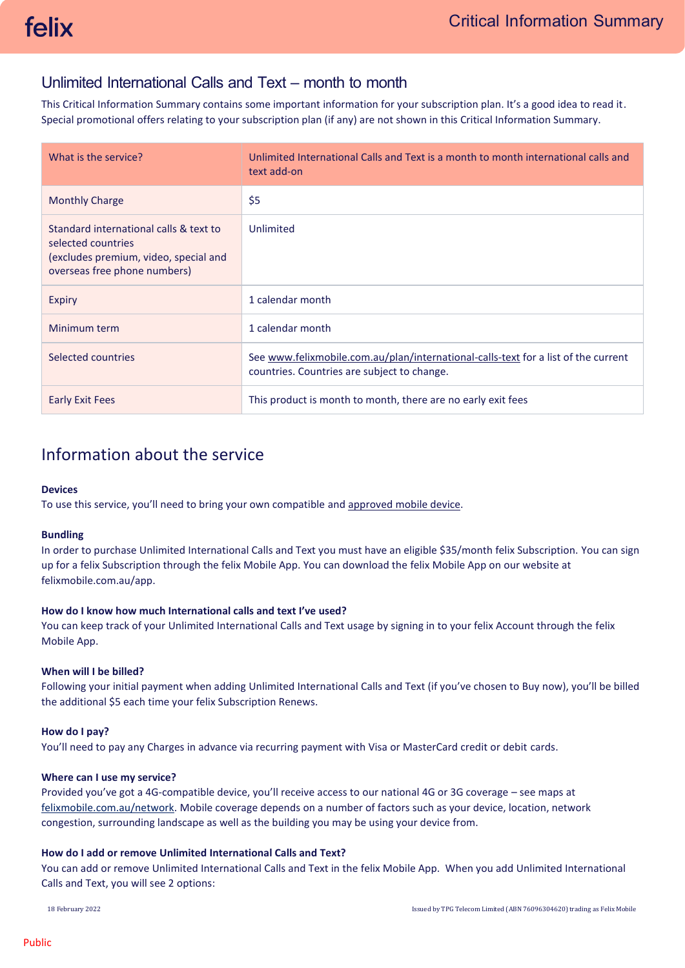# Unlimited International Calls and Text – month to month

This Critical Information Summary contains some important information for your subscription plan. It's a good idea to read it. Special promotional offers relating to your subscription plan (if any) are not shown in this Critical Information Summary.

| What is the service?                                                                                                                  | Unlimited International Calls and Text is a month to month international calls and<br>text add-on                                 |
|---------------------------------------------------------------------------------------------------------------------------------------|-----------------------------------------------------------------------------------------------------------------------------------|
| <b>Monthly Charge</b>                                                                                                                 | \$5                                                                                                                               |
| Standard international calls & text to<br>selected countries<br>(excludes premium, video, special and<br>overseas free phone numbers) | Unlimited                                                                                                                         |
| Expiry                                                                                                                                | 1 calendar month                                                                                                                  |
| Minimum term                                                                                                                          | 1 calendar month                                                                                                                  |
| Selected countries                                                                                                                    | See www.felixmobile.com.au/plan/international-calls-text for a list of the current<br>countries. Countries are subject to change. |
| Early Exit Fees                                                                                                                       | This product is month to month, there are no early exit fees                                                                      |

# Information about the service

#### **Devices**

To use this service, you'll need to bring your own compatible an[d approved mobile device.](https://felixmobile.com.au/terms-policies/device-list)

#### **Bundling**

In order to purchase Unlimited International Calls and Text you must have an eligible \$35/month felix Subscription. You can sign up for a felix Subscription through the felix Mobile App. You can download the felix Mobile App on our website at [felixmobile.com.au/app.](https://www.felixmobile.com.au/app)

# **How do I know how much International calls and text I've used?**

You can keep track of your Unlimited International Calls and Text usage by signing in to your felix Account through the felix Mobile App.

# **When will I be billed?**

Following your initial payment when adding Unlimited International Calls and Text (if you've chosen to Buy now), you'll be billed the additional \$5 each time your felix Subscription Renews.

#### **How do I pay?**

You'll need to pay any Charges in advance via recurring payment with Visa or MasterCard credit or debit cards.

#### **Where can I use my service?**

Provided you've got a 4G-compatible device, you'll receive access to our national 4G or 3G coverage – see maps at [felixmobile.com.au/network.](https://www.felixmobile.com.au/network) Mobile coverage depends on a number of factors such as your device, location, network congestion, surrounding landscape as well as the building you may be using your device from.

# **How do I add or remove Unlimited International Calls and Text?**

You can add or remove Unlimited International Calls and Text in the felix Mobile App. When you add Unlimited International Calls and Text, you will see 2 options: